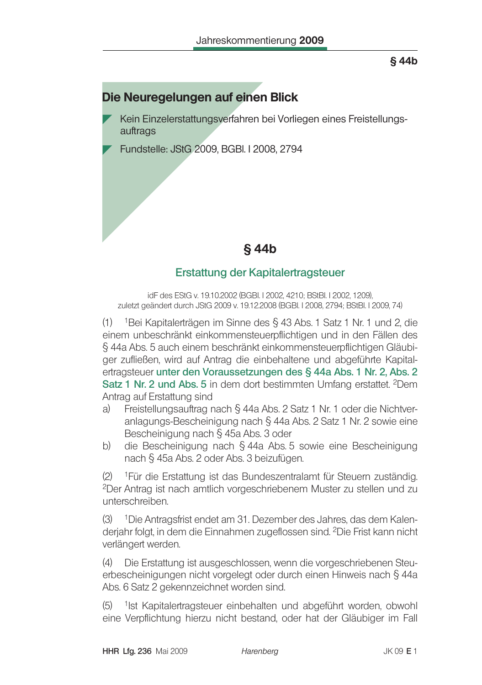### $§$ 44b

# Die Neuregelungen auf einen Blick

- Kein Einzelerstattungsverfahren bei Vorliegen eines Freistellungsauftrags
- Fundstelle: JStG 2009, BGBI. I 2008, 2794

## **§44b**

### Erstattung der Kapitalertragsteuer

idF des EStG v. 19.10.2002 (BGBI. I 2002, 4210; BStBI. I 2002, 1209). zuletzt geändert durch JStG 2009 v. 19.12.2008 (BGBI. I 2008, 2794; BStBI. I 2009, 74)

(1) <sup>1</sup>Bei Kapitalerträgen im Sinne des § 43 Abs. 1 Satz 1 Nr. 1 und 2, die einem unbeschränkt einkommensteuerpflichtigen und in den Fällen des § 44a Abs. 5 auch einem beschränkt einkommensteuerpflichtigen Gläubiger zufließen, wird auf Antrag die einbehaltene und abgeführte Kapitalertragsteuer unter den Voraussetzungen des § 44a Abs. 1 Nr. 2, Abs. 2 Satz 1 Nr. 2 und Abs. 5 in dem dort bestimmten Umfang erstattet. <sup>2</sup>Dem Antrag auf Erstattung sind

- Freistellungsauftrag nach § 44a Abs. 2 Satz 1 Nr. 1 oder die Nichtvera) anlagungs-Bescheinigung nach § 44a Abs. 2 Satz 1 Nr. 2 sowie eine Bescheinigung nach § 45a Abs. 3 oder
- die Bescheinigung nach § 44a Abs. 5 sowie eine Bescheinigung b) nach § 45a Abs. 2 oder Abs. 3 beizufügen.

<sup>1</sup>Für die Erstattung ist das Bundeszentralamt für Steuern zuständig.  $(2)$ <sup>2</sup>Der Antrag ist nach amtlich vorgeschriebenem Muster zu stellen und zu unterschreiben

 $(3)$ <sup>1</sup>Die Antragsfrist endet am 31. Dezember des Jahres, das dem Kalenderjahr folgt, in dem die Einnahmen zugeflossen sind. <sup>2</sup>Die Frist kann nicht verlängert werden.

Die Erstattung ist ausgeschlossen, wenn die vorgeschriebenen Steu- $(4)$ erbescheinigungen nicht vorgelegt oder durch einen Hinweis nach § 44a Abs. 6 Satz 2 gekennzeichnet worden sind.

 $(5)$ <sup>1</sup>lst Kapitalertragsteuer einbehalten und abgeführt worden, obwohl eine Verpflichtung hierzu nicht bestand, oder hat der Gläubiger im Fall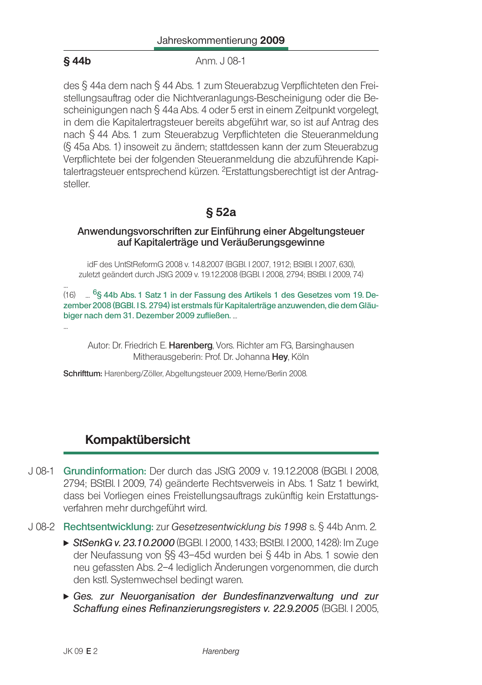### $§$ 44b

Anm. J 08-1

des § 44a dem nach § 44 Abs. 1 zum Steuerabzug Verpflichteten den Freistellungsauftrag oder die Nichtveranlagungs-Bescheinigung oder die Bescheinigungen nach § 44a Abs. 4 oder 5 erst in einem Zeitpunkt vorgelegt. in dem die Kapitalertragsteuer bereits abgeführt war, so ist auf Antrag des nach § 44 Abs. 1 zum Steuerabzug Verpflichteten die Steueranmeldung (§ 45a Abs. 1) insoweit zu ändern; stattdessen kann der zum Steuerabzug Verpflichtete bei der folgenden Steueranmeldung die abzuführende Kapitalertragsteuer entsprechend kürzen. <sup>2</sup>Erstattungsberechtigt ist der Antragsteller.

### $§ 52a$

#### Anwendungsvorschriften zur Einführung einer Abgeltungsteuer auf Kapitalerträge und Veräußerungsgewinne

idF des UntStReformG 2008 v. 14.8.2007 (BGBI. I 2007, 1912; BStBI. I 2007, 630), zuletzt geändert durch JStG 2009 v. 19.12.2008 (BGBI. I 2008, 2794; BStBI. I 2009, 74)

(16) ... <sup>6</sup>§ 44b Abs. 1 Satz 1 in der Fassung des Artikels 1 des Gesetzes vom 19. Dezember 2008 (BGBI. I S. 2794) ist erstmals für Kapitalerträge anzuwenden, die dem Gläubiger nach dem 31. Dezember 2009 zufließen. ...

Autor: Dr. Friedrich E. Harenberg, Vors. Richter am FG, Barsinghausen Mitherausgeberin: Prof. Dr. Johanna Hey, Köln

Schrifttum: Harenberg/Zöller, Abgeltungsteuer 2009, Herne/Berlin 2008.

## Kompaktübersicht

- J 08-1 Grundinformation: Der durch das JStG 2009 v. 19.12.2008 (BGBI I 2008, 2794; BStBl. I 2009, 74) geänderte Rechtsverweis in Abs. 1 Satz 1 bewirkt, dass bei Vorliegen eines Freistellungsauftrags zukünftig kein Erstattungsverfahren mehr durchgeführt wird.
- J 08-2 Rechtsentwicklung: zur Gesetzesentwicklung bis 1998 s. § 44b Anm. 2.
	- ► StSenkG v. 23.10.2000 (BGBI. 12000, 1433; BStBI. 12000, 1428): Im Zuge der Neufassung von §§ 43-45d wurden bei § 44b in Abs. 1 sowie den neu gefassten Abs. 2-4 lediglich Änderungen vorgenommen, die durch den kstl. Systemwechsel bedingt waren.
	- Ges. zur Neuorganisation der Bundesfinanzverwaltung und zur Schaffung eines Refinanzierungsregisters v. 22.9.2005 (BGBI. I 2005,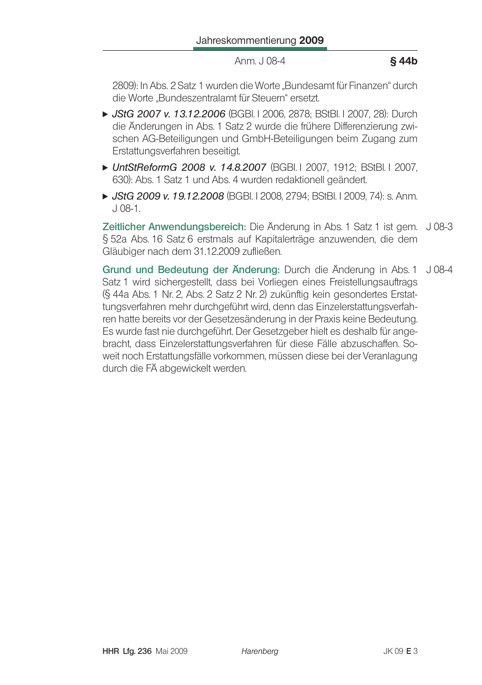Anm. J 08-4

#### §44b

2809): In Abs. 2 Satz 1 wurden die Worte "Bundesamt für Finanzen" durch die Worte Bundeszentralamt für Steuern" ersetzt

- ► JStG 2007 v. 13.12.2006 (BGBI. I 2006, 2878; BStBI. I 2007, 28): Durch die Änderungen in Abs. 1 Satz 2 wurde die frühere Differenzierung zwischen AG-Beteiligungen und GmbH-Beteiligungen beim Zugang zum Erstattungsverfahren beseitigt.
- UntStReformG 2008 v. 14.8.2007 (BGBI. I 2007, 1912; BStBI. I 2007, 630): Abs. 1 Satz 1 und Abs. 4 wurden redaktionell geändert.
- ► JStG 2009 v. 19.12.2008 (BGBI, I 2008, 2794; BStBI, I 2009, 74); s. Anm.  $.108-1.$

Zeitlicher Anwendungsbereich: Die Änderung in Abs. 1 Satz 1 ist gem. J 08-3 § 52a Abs. 16 Satz 6 erstmals auf Kapitalerträge anzuwenden, die dem Gläubiger nach dem 31.12.2009 zufließen.

Grund und Bedeutung der Änderung: Durch die Änderung in Abs. 1 J 08-4 Satz 1 wird sichergestellt, dass bei Vorliegen eines Freistellungsauftrags (§ 44a Abs. 1 Nr. 2, Abs. 2 Satz 2 Nr. 2) zukünftig kein gesondertes Erstattungsverfahren mehr durchgeführt wird, denn das Einzelerstattungsverfahren hatte bereits vor der Gesetzesänderung in der Praxis keine Bedeutung. Es wurde fast nie durchgeführt. Der Gesetzgeber hielt es deshalb für angebracht, dass Einzelerstattungsverfahren für diese Fälle abzuschaffen. Soweit noch Erstattungsfälle vorkommen, müssen diese bei der Veranlagung durch die FÄ abgewickelt werden.